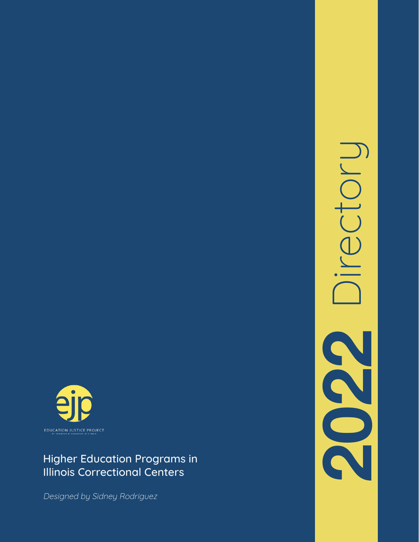

### Higher Education Programs in Illinois Correctional Centers

Designed by Sidney Rodriguez

**2022** Directory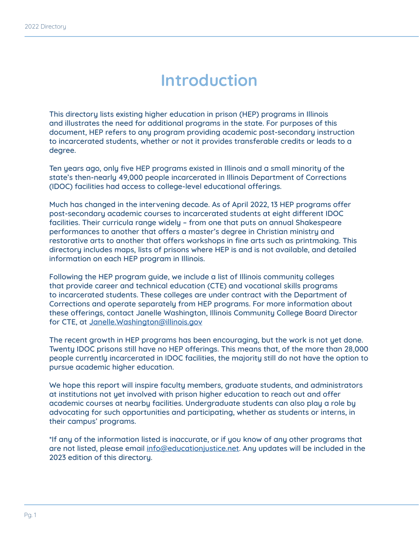## **Introduction**

This directory lists existing higher education in prison (HEP) programs in Illinois and illustrates the need for additional programs in the state. For purposes of this document, HEP refers to any program providing academic post-secondary instruction to incarcerated students, whether or not it provides transferable credits or leads to a degree.

Ten years ago, only five HEP programs existed in Illinois and a small minority of the state's then-nearly 49,000 people incarcerated in Illinois Department of Corrections (IDOC) facilities had access to college-level educational offerings.

Much has changed in the intervening decade. As of April 2022, 13 HEP programs offer post-secondary academic courses to incarcerated students at eight different IDOC facilities. Their curricula range widely – from one that puts on annual Shakespeare performances to another that offers a master's degree in Christian ministry and restorative arts to another that offers workshops in fine arts such as printmaking. This directory includes maps, lists of prisons where HEP is and is not available, and detailed information on each HEP program in Illinois.

Following the HEP program guide, we include a list of Illinois community colleges that provide career and technical education (CTE) and vocational skills programs to incarcerated students. These colleges are under contract with the Department of Corrections and operate separately from HEP programs. For more information about these offerings, contact Janelle Washington, Illinois Community College Board Director for CTE, at [Janelle.Washington@illinois.gov](mailto:Janelle.Washington%40illinois.gov?subject=)

The recent growth in HEP programs has been encouraging, but the work is not yet done. Twenty IDOC prisons still have no HEP offerings. This means that, of the more than 28,000 people currently incarcerated in IDOC facilities, the majority still do not have the option to pursue academic higher education.

We hope this report will inspire faculty members, graduate students, and administrators at institutions not yet involved with prison higher education to reach out and offer academic courses at nearby facilities. Undergraduate students can also play a role by advocating for such opportunities and participating, whether as students or interns, in their campus' programs.

\*If any of the information listed is inaccurate, or if you know of any other programs that are not listed, please email [info@educationjustice.net](mailto:info%40educationjustice.net?subject=). Any updates will be included in the 2023 edition of this directory.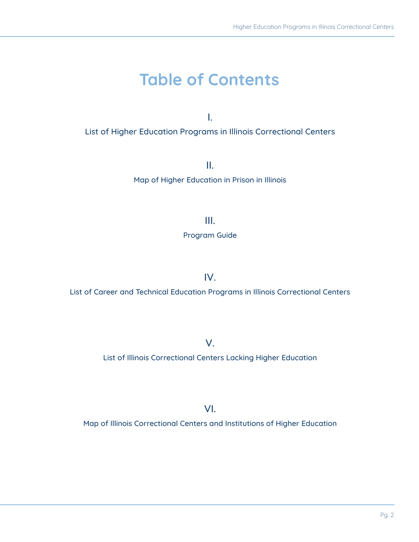# **Table of Contents**

I. List of Higher Education Programs in Illinois Correctional Centers

> II. Map of Higher Education in Prison in Illinois

> > III.

Program Guide

IV.

List of Career and Technical Education Programs in Illinois Correctional Centers

V.

List of Illinois Correctional Centers Lacking Higher Education

VI.

Map of Illinois Correctional Centers and Institutions of Higher Education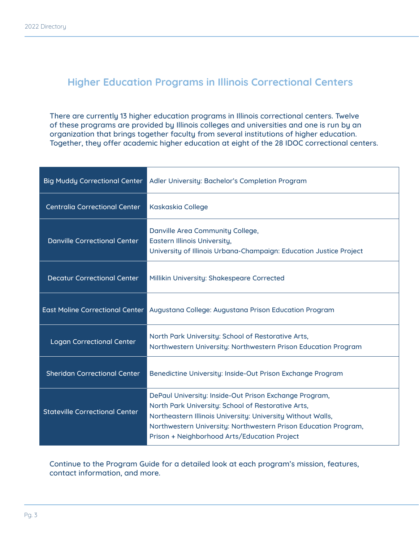### **Higher Education Programs in Illinois Correctional Centers**

There are currently 13 higher education programs in Illinois correctional centers. Twelve of these programs are provided by Illinois colleges and universities and one is run by an organization that brings together faculty from several institutions of higher education. Together, they offer academic higher education at eight of the 28 IDOC correctional centers.

| <b>Big Muddy Correctional Center</b>   | Adler University: Bachelor's Completion Program                                                                                                                                                                                                                                                |
|----------------------------------------|------------------------------------------------------------------------------------------------------------------------------------------------------------------------------------------------------------------------------------------------------------------------------------------------|
| <b>Centralia Correctional Center</b>   | <b>Kaskaskia College</b>                                                                                                                                                                                                                                                                       |
| <b>Danville Correctional Center</b>    | Danville Area Community College,<br>Eastern Illinois University,<br>University of Illinois Urbana-Champaign: Education Justice Project                                                                                                                                                         |
| Decatur Correctional Center            | Millikin University: Shakespeare Corrected                                                                                                                                                                                                                                                     |
| <b>East Moline Correctional Center</b> | Augustana College: Augustana Prison Education Program                                                                                                                                                                                                                                          |
| <b>Logan Correctional Center</b>       | North Park University: School of Restorative Arts,<br>Northwestern University: Northwestern Prison Education Program                                                                                                                                                                           |
| <b>Sheridan Correctional Center</b>    | Benedictine University: Inside-Out Prison Exchange Program                                                                                                                                                                                                                                     |
| <b>Stateville Correctional Center</b>  | DePaul University: Inside-Out Prison Exchange Program,<br>North Park University: School of Restorative Arts,<br>Northeastern Illinois University: University Without Walls,<br>Northwestern University: Northwestern Prison Education Program,<br>Prison + Neighborhood Arts/Education Project |

Continue to the Program Guide for a detailed look at each program's mission, features, contact information, and more.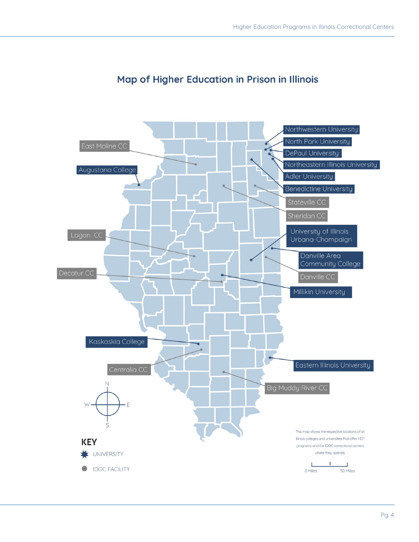

#### Map of Higher Education in Prison in Illinois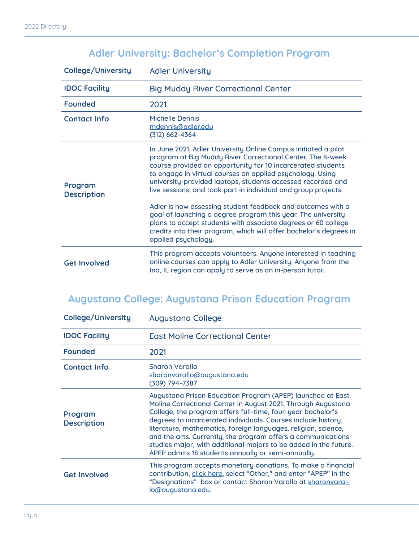### **Adler University: Bachelor's Completion Program**

| <b>College/University</b>     | <b>Adler University</b>                                                                                                                                                                                                                                                                                                                                                                   |
|-------------------------------|-------------------------------------------------------------------------------------------------------------------------------------------------------------------------------------------------------------------------------------------------------------------------------------------------------------------------------------------------------------------------------------------|
| <b>IDOC Facility</b>          | <b>Big Muddy River Correctional Center</b>                                                                                                                                                                                                                                                                                                                                                |
| <b>Founded</b>                | 2021                                                                                                                                                                                                                                                                                                                                                                                      |
| <b>Contact Info</b>           | Michelle Dennis<br>mdennis@adler.edu<br>$(312) 662 - 4364$                                                                                                                                                                                                                                                                                                                                |
| Program<br><b>Description</b> | In June 2021, Adler University Online Campus initiated a pilot<br>program at Big Muddy River Correctional Center. The 8-week<br>course provided an opportunity for 10 incarcerated students<br>to engage in virtual courses on applied psychology. Using<br>university-provided laptops, students accessed recorded and<br>live sessions, and took part in individual and group projects. |
|                               | Adler is now assessing student feedback and outcomes with a<br>goal of launching a degree program this year. The university<br>plans to accept students with associate degrees or 60 college<br>credits into their program, which will offer bachelor's degrees in<br>applied psychology.                                                                                                 |
| <b>Get Involved</b>           | This program accepts volunteers. Anyone interested in teaching<br>online courses can apply to Adler University. Anyone from the<br>Ina, IL region can apply to serve as an in-person tutor.                                                                                                                                                                                               |

### **Augustana College: Augustana Prison Education Program**

| <b>College/University</b>     | <b>Augustana College</b>                                                                                                                                                                                                                                                                                                                                                                                                                                                                                               |
|-------------------------------|------------------------------------------------------------------------------------------------------------------------------------------------------------------------------------------------------------------------------------------------------------------------------------------------------------------------------------------------------------------------------------------------------------------------------------------------------------------------------------------------------------------------|
| <b>IDOC Facility</b>          | <b>East Moline Correctional Center</b>                                                                                                                                                                                                                                                                                                                                                                                                                                                                                 |
| <b>Founded</b>                | 2021                                                                                                                                                                                                                                                                                                                                                                                                                                                                                                                   |
| <b>Contact Info</b>           | <b>Sharon Varallo</b><br>sharonvarallo@augustana.edu<br>(309) 794-7387                                                                                                                                                                                                                                                                                                                                                                                                                                                 |
| Program<br><b>Description</b> | Augustana Prison Education Program (APEP) launched at East<br>Moline Correctional Center in August 2021. Through Augustana<br>College, the program offers full-time, four-year bachelor's<br>degrees to incarcerated individuals. Courses include history,<br>literature, mathematics, foreign languages, religion, science,<br>and the arts. Currently, the program offers a communications<br>studies major, with additional majors to be added in the future.<br>APEP admits 18 students annually or semi-annually. |
| <b>Get Involved</b>           | This program accepts monetary donations. To make a financial<br>contribution, click here, select "Other," and enter "APEP" in the<br>"Designations" box or contact Sharon Varallo at sharonvaral-<br><u>lo@augustana.edu.</u>                                                                                                                                                                                                                                                                                          |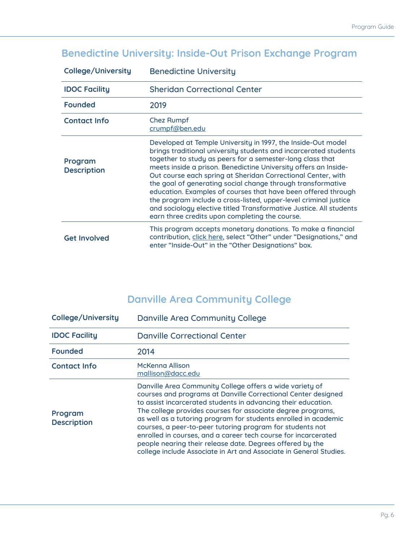### **Benedictine University: Inside-Out Prison Exchange Program**

| <b>College/University</b>     | <b>Benedictine University</b>                                                                                                                                                                                                                                                                                                                                                                                                                                                                                                                                                                                                                                |
|-------------------------------|--------------------------------------------------------------------------------------------------------------------------------------------------------------------------------------------------------------------------------------------------------------------------------------------------------------------------------------------------------------------------------------------------------------------------------------------------------------------------------------------------------------------------------------------------------------------------------------------------------------------------------------------------------------|
| <b>IDOC Facility</b>          | <b>Sheridan Correctional Center</b>                                                                                                                                                                                                                                                                                                                                                                                                                                                                                                                                                                                                                          |
| <b>Founded</b>                | 2019                                                                                                                                                                                                                                                                                                                                                                                                                                                                                                                                                                                                                                                         |
| <b>Contact Info</b>           | <b>Chez Rumpf</b><br>crumpf@ben.edu                                                                                                                                                                                                                                                                                                                                                                                                                                                                                                                                                                                                                          |
| Program<br><b>Description</b> | Developed at Temple University in 1997, the Inside-Out model<br>brings traditional university students and incarcerated students<br>together to study as peers for a semester-long class that<br>meets inside a prison. Benedictine University offers an Inside-<br>Out course each spring at Sheridan Correctional Center, with<br>the goal of generating social change through transformative<br>education. Examples of courses that have been offered through<br>the program include a cross-listed, upper-level criminal justice<br>and sociology elective titled Transformative Justice. All students<br>earn three credits upon completing the course. |
| <b>Get Involved</b>           | This program accepts monetary donations. To make a financial<br>contribution, click here, select "Other" under "Designations," and<br>enter "Inside-Out" in the "Other Designations" box.                                                                                                                                                                                                                                                                                                                                                                                                                                                                    |

### **Danville Area Community College**

| <b>College/University</b>     | Danville Area Community College                                                                                                                                                                                                                                                                                                                                                                                                                                                                                                                                                                |
|-------------------------------|------------------------------------------------------------------------------------------------------------------------------------------------------------------------------------------------------------------------------------------------------------------------------------------------------------------------------------------------------------------------------------------------------------------------------------------------------------------------------------------------------------------------------------------------------------------------------------------------|
| <b>IDOC Facility</b>          | <b>Danville Correctional Center</b>                                                                                                                                                                                                                                                                                                                                                                                                                                                                                                                                                            |
| <b>Founded</b>                | 2014                                                                                                                                                                                                                                                                                                                                                                                                                                                                                                                                                                                           |
| <b>Contact Info</b>           | McKenna Allison<br>mallison@dacc.edu                                                                                                                                                                                                                                                                                                                                                                                                                                                                                                                                                           |
| Program<br><b>Description</b> | Danville Area Community College offers a wide variety of<br>courses and programs at Danville Correctional Center designed<br>to assist incarcerated students in advancing their education.<br>The college provides courses for associate degree programs,<br>as well as a tutoring program for students enrolled in academic<br>courses, a peer-to-peer tutoring program for students not<br>enrolled in courses, and a career tech course for incarcerated<br>people nearing their release date. Degrees offered by the<br>college include Associate in Art and Associate in General Studies. |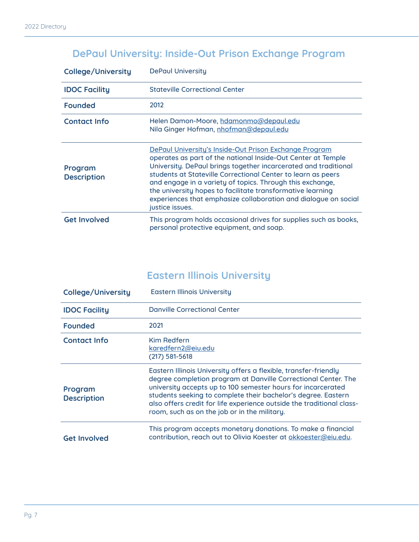### **DePaul University: Inside-Out Prison Exchange Program**

| College/University            | <b>DePaul University</b>                                                                                                                                                                                                                                                                                                                                                                                                                                                          |
|-------------------------------|-----------------------------------------------------------------------------------------------------------------------------------------------------------------------------------------------------------------------------------------------------------------------------------------------------------------------------------------------------------------------------------------------------------------------------------------------------------------------------------|
| <b>IDOC Facility</b>          | <b>Stateville Correctional Center</b>                                                                                                                                                                                                                                                                                                                                                                                                                                             |
| <b>Founded</b>                | 2012                                                                                                                                                                                                                                                                                                                                                                                                                                                                              |
| <b>Contact Info</b>           | Helen Damon-Moore, hdamonmo@depaul.edu<br>Nila Ginger Hofman, nhofman@depaul.edu                                                                                                                                                                                                                                                                                                                                                                                                  |
| Program<br><b>Description</b> | <u>DePaul University's Inside-Out Prison Exchange Program</u><br>operates as part of the national Inside-Out Center at Temple<br>University. DePaul brings together incarcerated and traditional<br>students at Stateville Correctional Center to learn as peers<br>and engage in a variety of topics. Through this exchange,<br>the university hopes to facilitate transformative learning<br>experiences that emphasize collaboration and dialogue on social<br>justice issues. |
| <b>Get Involved</b>           | This program holds occasional drives for supplies such as books,<br>personal protective equipment, and soap.                                                                                                                                                                                                                                                                                                                                                                      |

### **Eastern Illinois University**

| College/University            | <b>Eastern Illinois University</b>                                                                                                                                                                                                                                                                                                                                                           |
|-------------------------------|----------------------------------------------------------------------------------------------------------------------------------------------------------------------------------------------------------------------------------------------------------------------------------------------------------------------------------------------------------------------------------------------|
| <b>IDOC Facility</b>          | <b>Danville Correctional Center</b>                                                                                                                                                                                                                                                                                                                                                          |
| <b>Founded</b>                | 2021                                                                                                                                                                                                                                                                                                                                                                                         |
| <b>Contact Info</b>           | <b>Kim Redfern</b><br>karedfern2@eiu.edu<br>$(217) 581 - 5618$                                                                                                                                                                                                                                                                                                                               |
| Program<br><b>Description</b> | Eastern Illinois University offers a flexible, transfer-friendly<br>degree completion program at Danville Correctional Center. The<br>university accepts up to 100 semester hours for incarcerated<br>students seeking to complete their bachelor's degree. Eastern<br>also offers credit for life experience outside the traditional class-<br>room, such as on the job or in the military. |
| <b>Get Involved</b>           | This program accepts monetary donations. To make a financial<br>contribution, reach out to Olivia Koester at okkoester@eiu.edu.                                                                                                                                                                                                                                                              |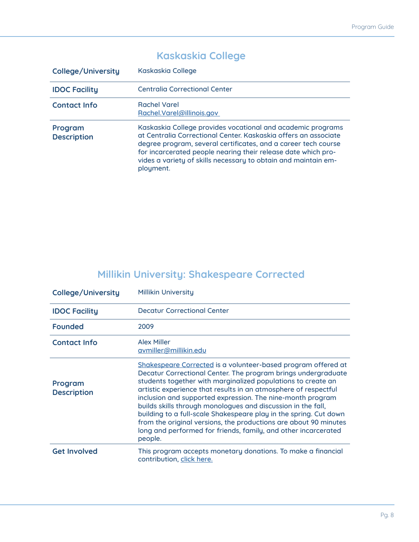#### **College/University** Kaskaskia College **IDOC Facility** Centralia Correctional Center **Contact Info** Rachel Varel [Rachel.Varel@illinois.gov](mailto:Rachel.Varel%40illinois.gov%20?subject=)  **Program Description** Kaskaskia College provides vocational and academic programs at Centralia Correctional Center. Kaskaskia offers an associate degree program, several certificates, and a career tech course for incarcerated people nearing their release date which provides a variety of skills necessary to obtain and maintain employment.

#### **Kaskaskia College**

#### **Millikin University: Shakespeare Corrected**

| College/University            | <b>Millikin University</b>                                                                                                                                                                                                                                                                                                                                                                                                                                                                                                                                                                                            |
|-------------------------------|-----------------------------------------------------------------------------------------------------------------------------------------------------------------------------------------------------------------------------------------------------------------------------------------------------------------------------------------------------------------------------------------------------------------------------------------------------------------------------------------------------------------------------------------------------------------------------------------------------------------------|
| <b>IDOC Facility</b>          | <b>Decatur Correctional Center</b>                                                                                                                                                                                                                                                                                                                                                                                                                                                                                                                                                                                    |
| <b>Founded</b>                | 2009                                                                                                                                                                                                                                                                                                                                                                                                                                                                                                                                                                                                                  |
| <b>Contact Info</b>           | <b>Alex Miller</b><br>avmiller@millikin.edu                                                                                                                                                                                                                                                                                                                                                                                                                                                                                                                                                                           |
| Program<br><b>Description</b> | Shakespeare Corrected is a volunteer-based program offered at<br>Decatur Correctional Center. The program brings undergraduate<br>students together with marginalized populations to create an<br>artistic experience that results in an atmosphere of respectful<br>inclusion and supported expression. The nine-month program<br>builds skills through monologues and discussion in the fall,<br>building to a full-scale Shakespeare play in the spring. Cut down<br>from the original versions, the productions are about 90 minutes<br>long and performed for friends, family, and other incarcerated<br>people. |
| <b>Get Involved</b>           | This program accepts monetary donations. To make a financial<br>contribution, click here.                                                                                                                                                                                                                                                                                                                                                                                                                                                                                                                             |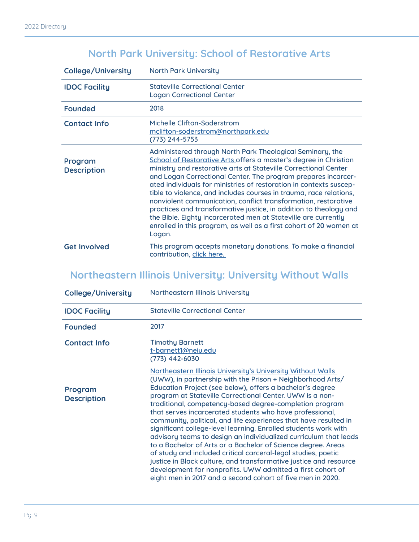### **North Park University: School of Restorative Arts**

| <b>College/University</b>     | <b>North Park University</b>                                                                                                                                                                                                                                                                                                                                                                                                                                                                                                                                                                                                                                                                           |
|-------------------------------|--------------------------------------------------------------------------------------------------------------------------------------------------------------------------------------------------------------------------------------------------------------------------------------------------------------------------------------------------------------------------------------------------------------------------------------------------------------------------------------------------------------------------------------------------------------------------------------------------------------------------------------------------------------------------------------------------------|
| <b>IDOC Facility</b>          | <b>Stateville Correctional Center</b><br><b>Logan Correctional Center</b>                                                                                                                                                                                                                                                                                                                                                                                                                                                                                                                                                                                                                              |
| <b>Founded</b>                | 2018                                                                                                                                                                                                                                                                                                                                                                                                                                                                                                                                                                                                                                                                                                   |
| <b>Contact Info</b>           | Michelle Clifton-Soderstrom<br>mclifton-soderstrom@northpark.edu<br>(773) 244-5753                                                                                                                                                                                                                                                                                                                                                                                                                                                                                                                                                                                                                     |
| Program<br><b>Description</b> | Administered through North Park Theological Seminary, the<br>School of Restorative Arts offers a master's degree in Christian<br>ministry and restorative arts at Stateville Correctional Center<br>and Logan Correctional Center. The program prepares incarcer-<br>ated individuals for ministries of restoration in contexts suscep-<br>tible to violence, and includes courses in trauma, race relations,<br>nonviolent communication, conflict transformation, restorative<br>practices and transformative justice, in addition to theology and<br>the Bible. Eighty incarcerated men at Stateville are currently<br>enrolled in this program, as well as a first cohort of 20 women at<br>Logan. |
| <b>Get Involved</b>           | This program accepts monetary donations. To make a financial<br>contribution, click here.                                                                                                                                                                                                                                                                                                                                                                                                                                                                                                                                                                                                              |

### **Northeastern Illinois University: University Without Walls**

| <b>College/University</b>     | Northeastern Illinois University                                                                                                                                                                                                                                                                                                                                                                                                                                                                                                                                                                                                                                                                                                                                                                                                                                                                                       |
|-------------------------------|------------------------------------------------------------------------------------------------------------------------------------------------------------------------------------------------------------------------------------------------------------------------------------------------------------------------------------------------------------------------------------------------------------------------------------------------------------------------------------------------------------------------------------------------------------------------------------------------------------------------------------------------------------------------------------------------------------------------------------------------------------------------------------------------------------------------------------------------------------------------------------------------------------------------|
| <b>IDOC Facility</b>          | <b>Stateville Correctional Center</b>                                                                                                                                                                                                                                                                                                                                                                                                                                                                                                                                                                                                                                                                                                                                                                                                                                                                                  |
| <b>Founded</b>                | 2017                                                                                                                                                                                                                                                                                                                                                                                                                                                                                                                                                                                                                                                                                                                                                                                                                                                                                                                   |
| <b>Contact Info</b>           | <b>Timothy Barnett</b><br>t-barnett1@neiu.edu<br>(773) 442-6030                                                                                                                                                                                                                                                                                                                                                                                                                                                                                                                                                                                                                                                                                                                                                                                                                                                        |
| Program<br><b>Description</b> | Northeastern Illinois University's University Without Walls<br>(UWW), in partnership with the Prison + Neighborhood Arts/<br>Education Project (see below), offers a bachelor's degree<br>program at Stateville Correctional Center. UWW is a non-<br>traditional, competency-based degree-completion program<br>that serves incarcerated students who have professional,<br>community, political, and life experiences that have resulted in<br>significant college-level learning. Enrolled students work with<br>advisory teams to design an individualized curriculum that leads<br>to a Bachelor of Arts or a Bachelor of Science degree. Areas<br>of study and included critical carceral-legal studies, poetic<br>justice in Black culture, and transformative justice and resource<br>development for nonprofits. UWW admitted a first cohort of<br>eight men in 2017 and a second cohort of five men in 2020. |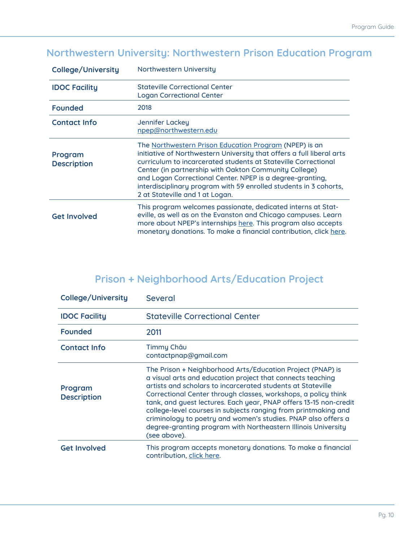### **Northwestern University: Northwestern Prison Education Program**

| <b>College/University</b>     | Northwestern University                                                                                                                                                                                                                                                                                                                                                                                                         |
|-------------------------------|---------------------------------------------------------------------------------------------------------------------------------------------------------------------------------------------------------------------------------------------------------------------------------------------------------------------------------------------------------------------------------------------------------------------------------|
| <b>IDOC Facility</b>          | <b>Stateville Correctional Center</b><br><b>Logan Correctional Center</b>                                                                                                                                                                                                                                                                                                                                                       |
| <b>Founded</b>                | 2018                                                                                                                                                                                                                                                                                                                                                                                                                            |
| <b>Contact Info</b>           | Jennifer Lackey<br>npep@northwestern.edu                                                                                                                                                                                                                                                                                                                                                                                        |
| Program<br><b>Description</b> | The Northwestern Prison Education Program (NPEP) is an<br>initiative of Northwestern University that offers a full liberal arts<br>curriculum to incarcerated students at Stateville Correctional<br>Center (in partnership with Oakton Community College)<br>and Logan Correctional Center. NPEP is a degree-granting,<br>interdisciplinary program with 59 enrolled students in 3 cohorts,<br>2 at Stateville and 1 at Logan. |
| <b>Get Involved</b>           | This program welcomes passionate, dedicated interns at Stat-<br>eville, as well as on the Evanston and Chicago campuses. Learn<br>more about NPEP's internships here. This program also accepts<br>monetary donations. To make a financial contribution, click here.                                                                                                                                                            |

### **Prison + Neighborhood Arts/Education Project**

| <b>College/University</b>     | Several                                                                                                                                                                                                                                                                                                                                                                                                                                                                                                                                            |
|-------------------------------|----------------------------------------------------------------------------------------------------------------------------------------------------------------------------------------------------------------------------------------------------------------------------------------------------------------------------------------------------------------------------------------------------------------------------------------------------------------------------------------------------------------------------------------------------|
| <b>IDOC Facility</b>          | <b>Stateville Correctional Center</b>                                                                                                                                                                                                                                                                                                                                                                                                                                                                                                              |
| <b>Founded</b>                | 2011                                                                                                                                                                                                                                                                                                                                                                                                                                                                                                                                               |
| <b>Contact Info</b>           | Timmy Châu<br>contactpnap@gmail.com                                                                                                                                                                                                                                                                                                                                                                                                                                                                                                                |
| Program<br><b>Description</b> | The Prison + Neighborhood Arts/Education Project (PNAP) is<br>a visual arts and education project that connects teaching<br>artists and scholars to incarcerated students at Stateville<br>Correctional Center through classes, workshops, a policy think<br>tank, and guest lectures. Each year, PNAP offers 13-15 non-credit<br>college-level courses in subjects ranging from printmaking and<br>criminology to poetry and women's studies. PNAP also offers a<br>degree-granting program with Northeastern Illinois University<br>(see above). |
| <b>Get Involved</b>           | This program accepts monetary donations. To make a financial<br>contribution, click here.                                                                                                                                                                                                                                                                                                                                                                                                                                                          |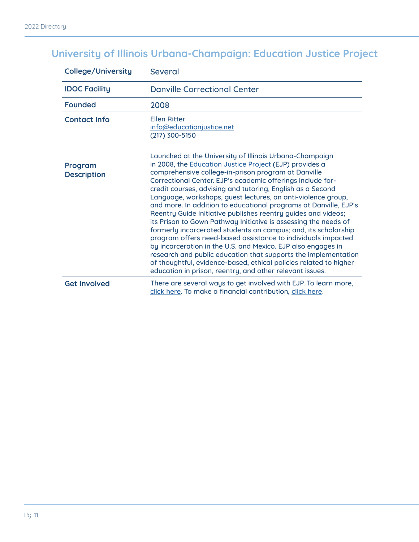## **University of Illinois Urbana-Champaign: Education Justice Project**

| College/University            | <b>Several</b>                                                                                                                                                                                                                                                                                                                                                                                                                                                                                                                                                                                                                                                                                                                                                                                                                                                                                                                                                                            |
|-------------------------------|-------------------------------------------------------------------------------------------------------------------------------------------------------------------------------------------------------------------------------------------------------------------------------------------------------------------------------------------------------------------------------------------------------------------------------------------------------------------------------------------------------------------------------------------------------------------------------------------------------------------------------------------------------------------------------------------------------------------------------------------------------------------------------------------------------------------------------------------------------------------------------------------------------------------------------------------------------------------------------------------|
| <b>IDOC Facility</b>          | <b>Danville Correctional Center</b>                                                                                                                                                                                                                                                                                                                                                                                                                                                                                                                                                                                                                                                                                                                                                                                                                                                                                                                                                       |
| <b>Founded</b>                | 2008                                                                                                                                                                                                                                                                                                                                                                                                                                                                                                                                                                                                                                                                                                                                                                                                                                                                                                                                                                                      |
| <b>Contact Info</b>           | <b>Ellen Ritter</b><br>info@educationjustice.net<br>(217) 300-5150                                                                                                                                                                                                                                                                                                                                                                                                                                                                                                                                                                                                                                                                                                                                                                                                                                                                                                                        |
| Program<br><b>Description</b> | Launched at the University of Illinois Urbana-Champaign<br>in 2008, the <b>Education Justice Project</b> (EJP) provides a<br>comprehensive college-in-prison program at Danville<br>Correctional Center. EJP's academic offerings include for-<br>credit courses, advising and tutoring, English as a Second<br>Language, workshops, guest lectures, an anti-violence group,<br>and more. In addition to educational programs at Danville, EJP's<br>Reentry Guide Initiative publishes reentry guides and videos;<br>its Prison to Gown Pathway Initiative is assessing the needs of<br>formerly incarcerated students on campus; and, its scholarship<br>program offers need-based assistance to individuals impacted<br>by incarceration in the U.S. and Mexico. EJP also engages in<br>research and public education that supports the implementation<br>of thoughtful, evidence-based, ethical policies related to higher<br>education in prison, reentry, and other relevant issues. |
| <b>Get Involved</b>           | There are several ways to get involved with EJP. To learn more,<br>click here. To make a financial contribution, click here.                                                                                                                                                                                                                                                                                                                                                                                                                                                                                                                                                                                                                                                                                                                                                                                                                                                              |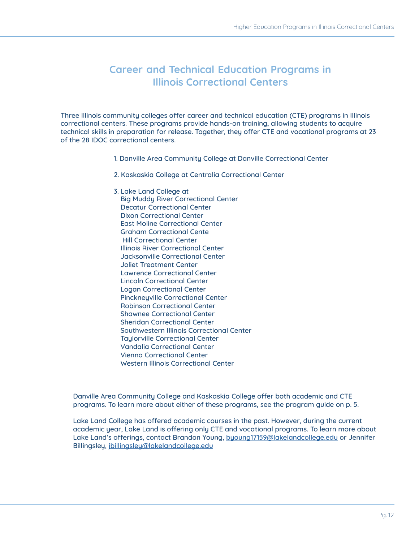#### **Career and Technical Education Programs in Illinois Correctional Centers**

Three Illinois community colleges offer career and technical education (CTE) programs in Illinois correctional centers. These programs provide hands-on training, allowing students to acquire technical skills in preparation for release. Together, they offer CTE and vocational programs at 23 of the 28 IDOC correctional centers.

- 1. Danville Area Community College at Danville Correctional Center
- 2. Kaskaskia College at Centralia Correctional Center

3. Lake Land College at Big Muddy River Correctional Center Decatur Correctional Center Dixon Correctional Center East Moline Correctional Center Graham Correctional Cente Hill Correctional Center Illinois River Correctional Center Jacksonville Correctional Center Joliet Treatment Center Lawrence Correctional Center Lincoln Correctional Center Logan Correctional Center Pinckneyville Correctional Center Robinson Correctional Center Shawnee Correctional Center Sheridan Correctional Center Southwestern Illinois Correctional Center Taylorville Correctional Center Vandalia Correctional Center Vienna Correctional Center Western Illinois Correctional Center

Danville Area Community College and Kaskaskia College offer both academic and CTE programs. To learn more about either of these programs, see the program guide on p. 5.

Lake Land College has offered academic courses in the past. However, during the current academic year, Lake Land is offering only CTE and vocational programs. To learn more about Lake Land's offerings, contact Brandon Young, [byoung17159@lakelandcollege.edu](mailto:byoung17159%40lakelandcollege.edu?subject=) or Jennifer Billingsley, [jbillingsley@lakelandcollege.edu](mailto:jbillingsley%40lakelandcollege.edu?subject=)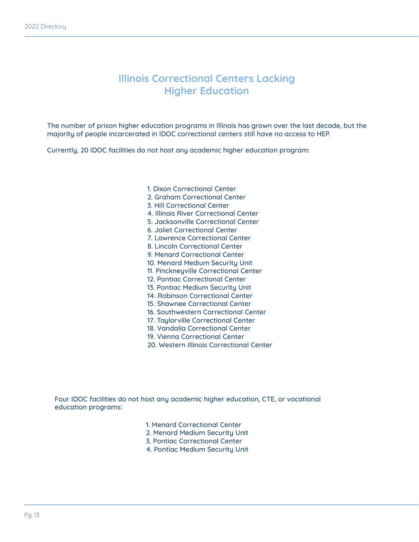#### **Illinois Correctional Centers Lacking Higher Education**

The number of prison higher education programs in Illinois has grown over the last decade, but the majority of people incarcerated in IDOC correctional centers still have no access to HEP.

Currently, 20 IDOC facilities do not host any academic higher education program:

1. Dixon Correctional Center 2. Graham Correctional Center 3. Hill Correctional Center 4. Illinois River Correctional Center 5. Jacksonville Correctional Center 6. Joliet Correctional Center 7. Lawrence Correctional Center 8. Lincoln Correctional Center 9. Menard Correctional Center 10. Menard Medium Security Unit 11. Pinckneyville Correctional Center 12. Pontiac Correctional Center 13. Pontiac Medium Security Unit 14. Robinson Correctional Center 15. Shawnee Correctional Center 16. Southwestern Correctional Center 17. Taylorville Correctional Center 18. Vandalia Correctional Center 19. Vienna Correctional Center 20. Western Illinois Correctional Center

Four IDOC facilities do not host any academic higher education, CTE, or vocational education programs:

- 1. Menard Correctional Center
- 2. Menard Medium Security Unit
- 3. Pontiac Correctional Center
- 4. Pontiac Medium Security Unit